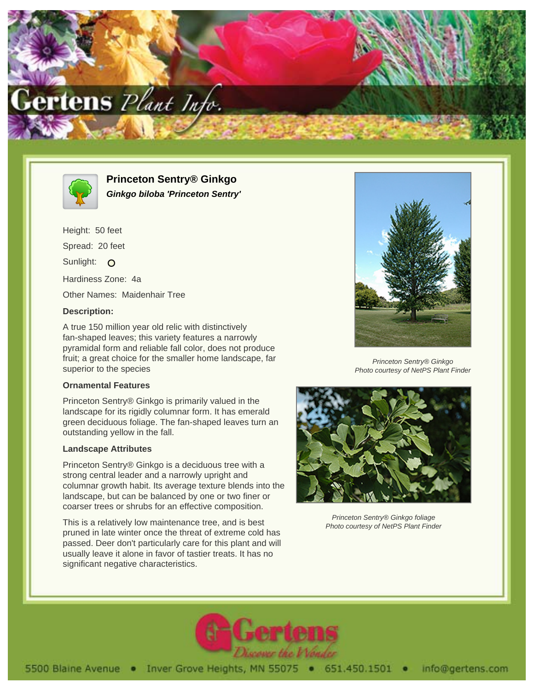



**Princeton Sentry® Ginkgo Ginkgo biloba 'Princeton Sentry'**

Height: 50 feet Spread: 20 feet Sunlight: O Hardiness Zone: 4a Other Names: Maidenhair Tree

# **Description:**

A true 150 million year old relic with distinctively fan-shaped leaves; this variety features a narrowly pyramidal form and reliable fall color, does not produce fruit; a great choice for the smaller home landscape, far superior to the species

### **Ornamental Features**

Princeton Sentry® Ginkgo is primarily valued in the landscape for its rigidly columnar form. It has emerald green deciduous foliage. The fan-shaped leaves turn an outstanding yellow in the fall.

### **Landscape Attributes**

Princeton Sentry® Ginkgo is a deciduous tree with a strong central leader and a narrowly upright and columnar growth habit. Its average texture blends into the landscape, but can be balanced by one or two finer or coarser trees or shrubs for an effective composition.

This is a relatively low maintenance tree, and is best pruned in late winter once the threat of extreme cold has passed. Deer don't particularly care for this plant and will usually leave it alone in favor of tastier treats. It has no significant negative characteristics.



Princeton Sentry® Ginkgo Photo courtesy of NetPS Plant Finder



Princeton Sentry® Ginkgo foliage Photo courtesy of NetPS Plant Finder